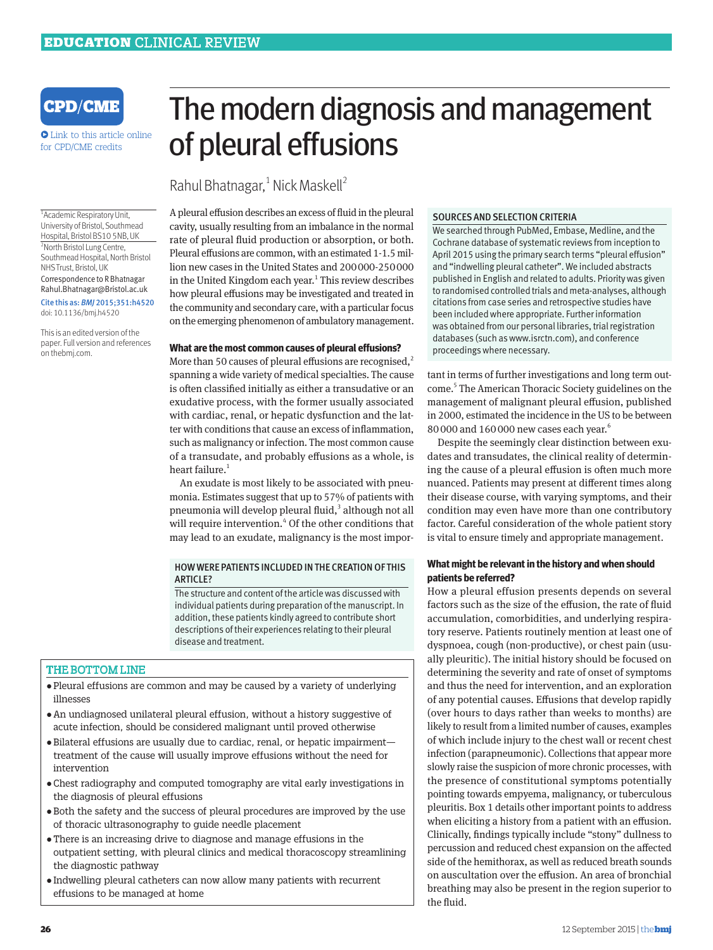

**•** Link to this article online for CPD/CME credits

1 Academic Respiratory Unit, University of Bristol, Southmead Hospital, Bristol BS10 5NB, UK 2 North Bristol Lung Centre, Southmead Hospital, North Bristol NHS Trust, Bristol, UK Correspondence to R Bhatnagar Rahul.Bhatnagar@Bristol.ac.uk Cite this as: *BMJ* 2015;351:h4520 doi: 10.1136/bmj.h4520

This is an edited version of the paper. Full version and references on thebmj.com.

# The modern diagnosis and management of pleural effusions

Rahul Bhatnagar,<sup>1</sup> Nick Maskell<sup>2</sup>

A pleural effusion describes an excess of fluid in the pleural cavity, usually resulting from an imbalance in the normal rate of pleural fluid production or absorption, or both. Pleural effusions are common, with an estimated 1-1.5 million new cases in the United States and 200000-250000 in the United Kingdom each year.<sup>1</sup> This review describes how pleural effusions may be investigated and treated in the community and secondary care, with a particular focus on the emerging phenomenon of ambulatory management.

#### **What are the most common causes of pleural effusions?**

More than 50 causes of pleural effusions are recognised, $<sup>2</sup>$ </sup> spanning a wide variety of medical specialties. The cause is often classified initially as either a transudative or an exudative process, with the former usually associated with cardiac, renal, or hepatic dysfunction and the latter with conditions that cause an excess of inflammation, such as malignancy or infection. The most common cause of a transudate, and probably effusions as a whole, is heart failure.<sup>1</sup>

An exudate is most likely to be associated with pneumonia. Estimates suggest that up to 57% of patients with pneumonia will develop pleural fluid,<sup>3</sup> although not all will require intervention.<sup>4</sup> Of the other conditions that may lead to an exudate, malignancy is the most impor-

#### HOW WERE PATIENTS INCLUDED IN THE CREATION OF THIS **ARTICLE?**

The structure and content of the article was discussed with individual patients during preparation of the manuscript. In addition, these patients kindly agreed to contribute short descriptions of their experiences relating to their pleural disease and treatment.

### THE BOTTOM LINE

- •Pleural effusions are common and may be caused by a variety of underlying illnesses
- •An undiagnosed unilateral pleural effusion, without a history suggestive of acute infection, should be considered malignant until proved otherwise
- •Bilateral effusions are usually due to cardiac, renal, or hepatic impairment treatment of the cause will usually improve effusions without the need for intervention
- •Chest radiography and computed tomography are vital early investigations in the diagnosis of pleural effusions
- •Both the safety and the success of pleural procedures are improved by the use of thoracic ultrasonography to guide needle placement
- •There is an increasing drive to diagnose and manage effusions in the outpatient setting, with pleural clinics and medical thoracoscopy streamlining the diagnostic pathway
- •Indwelling pleural catheters can now allow many patients with recurrent effusions to be managed at home

#### SOURCES AND SELECTION CRITERIA

We searched through PubMed, Embase, Medline, and the Cochrane database of systematic reviews from inception to April 2015 using the primary search terms "pleural effusion" and "indwelling pleural catheter". We included abstracts published in English and related to adults. Priority was given to randomised controlled trials and meta-analyses, although citations from case series and retrospective studies have been included where appropriate. Further information was obtained from our personal libraries, trial registration databases (such as www.isrctn.com), and conference proceedings where necessary.

tant in terms of further investigations and long term outcome.<sup>5</sup> The American Thoracic Society guidelines on the management of malignant pleural effusion, published in 2000, estimated the incidence in the US to be between 80000 and 160000 new cases each year.<sup>6</sup>

Despite the seemingly clear distinction between exudates and transudates, the clinical reality of determining the cause of a pleural effusion is often much more nuanced. Patients may present at different times along their disease course, with varying symptoms, and their condition may even have more than one contributory factor. Careful consideration of the whole patient story is vital to ensure timely and appropriate management.

#### **What might be relevant in the history and when should patients be referred?**

How a pleural effusion presents depends on several factors such as the size of the effusion, the rate of fluid accumulation, comorbidities, and underlying respiratory reserve. Patients routinely mention at least one of dyspnoea, cough (non-productive), or chest pain (usually pleuritic). The initial history should be focused on determining the severity and rate of onset of symptoms and thus the need for intervention, and an exploration of any potential causes. Effusions that develop rapidly (over hours to days rather than weeks to months) are likely to result from a limited number of causes, examples of which include injury to the chest wall or recent chest infection (parapneumonic). Collections that appear more slowly raise the suspicion of more chronic processes, with the presence of constitutional symptoms potentially pointing towards empyema, malignancy, or tuberculous pleuritis. Box 1 details other important points to address when eliciting a history from a patient with an effusion. Clinically, findings typically include "stony" dullness to percussion and reduced chest expansion on the affected side of the hemithorax, as well as reduced breath sounds on auscultation over the effusion. An area of bronchial breathing may also be present in the region superior to the fluid.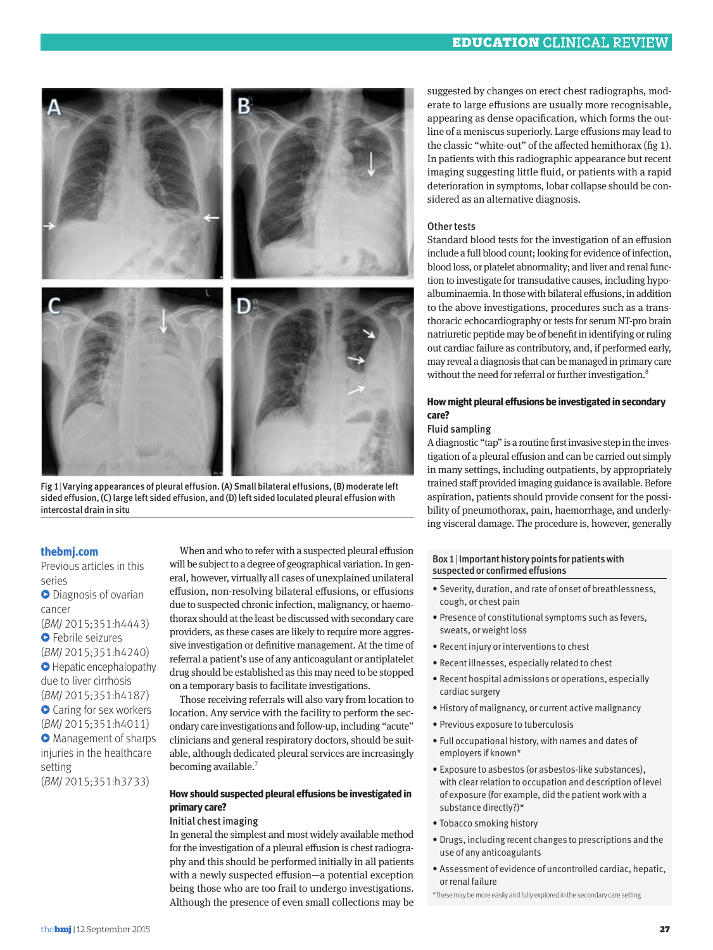

Fig 1|Varying appearances of pleural effusion. (A) Small bilateral effusions, (B) moderate left sided effusion, (C) large left sided effusion, and (D) left sided loculated pleural effusion with intercostal drain in situ

#### **thebmj.com**

Previous articles in this series **•** Diagnosis of ovarian cancer (*BMJ* 2015;351:h4443) **•** Febrile seizures (*BMJ* 2015;351:h4240) **•** Hepatic encephalopathy due to liver cirrhosis (*BMJ* 2015;351:h4187) **•** Caring for sex workers (*BMJ* 2015;351:h4011) **• Management of sharps** injuries in the healthcare setting (*BMJ* 2015;351:h3733)

When and who to refer with a suspected pleural effusion will be subject to a degree of geographical variation. In general, however, virtually all cases of unexplained unilateral effusion, non-resolving bilateral effusions, or effusions due to suspected chronic infection, malignancy, or haemothorax should at the least be discussed with secondary care providers, as these cases are likely to require more aggressive investigation or definitive management. At the time of referral a patient's use of any anticoagulant or antiplatelet drug should be established as this may need to be stopped on a temporary basis to facilitate investigations.

Those receiving referrals will also vary from location to location. Any service with the facility to perform the secondary care investigations and follow-up, including "acute" clinicians and general respiratory doctors, should be suitable, although dedicated pleural services are increasingly becoming available.<sup>7</sup>

#### **How should suspected pleural effusions be investigated in primary care?**

#### Initial chest imaging

In general the simplest and most widely available method for the investigation of a pleural effusion is chest radiography and this should be performed initially in all patients with a newly suspected effusion—a potential exception being those who are too frail to undergo investigations. Although the presence of even small collections may be

suggested by changes on erect chest radiographs, moderate to large effusions are usually more recognisable, appearing as dense opacification, which forms the outline of a meniscus superiorly. Large effusions may lead to the classic "white-out" of the affected hemithorax (fig 1). In patients with this radiographic appearance but recent imaging suggesting little fluid, or patients with a rapid deterioration in symptoms, lobar collapse should be considered as an alternative diagnosis.

#### Other tests

Standard blood tests for the investigation of an effusion include a full blood count; looking for evidence of infection, blood loss, or platelet abnormality; and liver and renal function to investigate for transudative causes, including hypoalbuminaemia. In those with bilateral effusions, in addition to the above investigations, procedures such as a transthoracic echocardiography or tests for serum NT-pro brain natriuretic peptide may be of benefit in identifying or ruling out cardiac failure as contributory, and, if performed early, may reveal a diagnosis that can be managed in primary care without the need for referral or further investigation.<sup>8</sup>

#### **How might pleural effusions be investigated in secondary care?**

#### Fluid sampling

A diagnostic "tap" is a routine first invasive step in the investigation of a pleural effusion and can be carried out simply in many settings, including outpatients, by appropriately trained staff provided imaging guidance is available. Before aspiration, patients should provide consent for the possibility of pneumothorax, pain, haemorrhage, and underlying visceral damage. The procedure is, however, generally

#### Box 1|Important history points for patients with suspected or confirmed effusions

- Severity, duration, and rate of onset of breathlessness, cough, or chest pain
- Presence of constitutional symptoms such as fevers, sweats, or weight loss
- Recent injury or interventions to chest
- Recent illnesses, especially related to chest
- Recent hospital admissions or operations, especially cardiac surgery
- History of malignancy, or current active malignancy
- Previous exposure to tuberculosis
- Full occupational history, with names and dates of employers if known\*
- Exposure to asbestos (or asbestos-like substances), with clear relation to occupation and description of level of exposure (for example, did the patient work with a substance directly?)\*
- Tobacco smoking history
- Drugs, including recent changes to prescriptions and the use of any anticoagulants
- Assessment of evidence of uncontrolled cardiac, hepatic, or renal failure
- \*These may be more easily and fully explored in the secondary care setting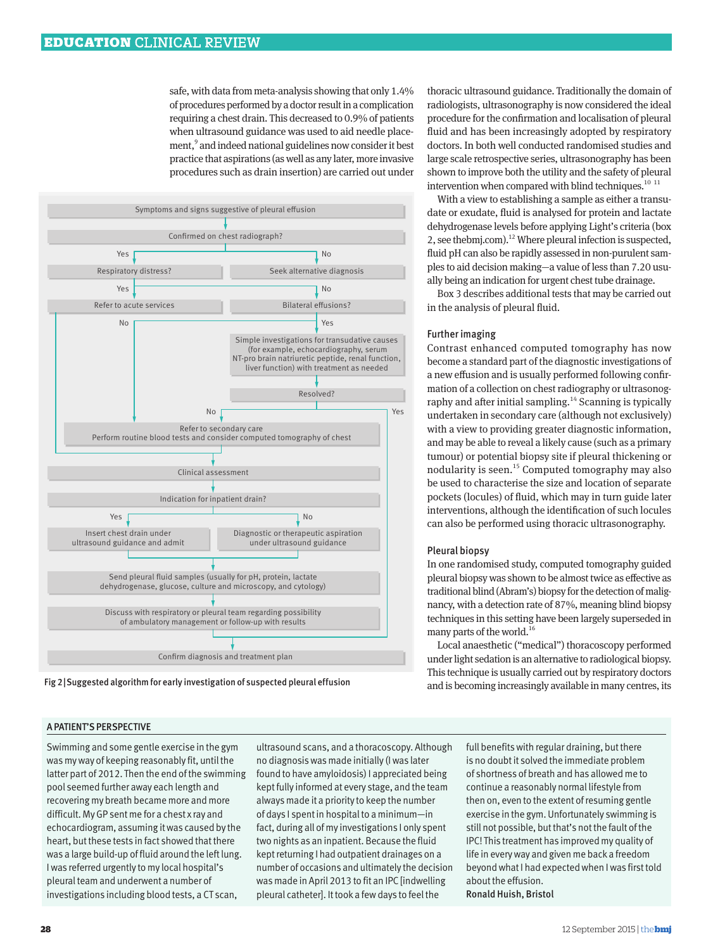safe, with data from meta-analysis showing that only 1.4% of procedures performed by a doctor result in a complication requiring a chest drain. This decreased to 0.9% of patients when ultrasound guidance was used to aid needle placement,<sup>9</sup> and indeed national guidelines now consider it best practice that aspirations (as well as any later, more invasive procedures such as drain insertion) are carried out under



Fig 2|Suggested algorithm for early investigation of suspected pleural effusion

thoracic ultrasound guidance. Traditionally the domain of radiologists, ultrasonography is now considered the ideal procedure for the confirmation and localisation of pleural fluid and has been increasingly adopted by respiratory doctors. In both well conducted randomised studies and large scale retrospective series, ultrasonography has been shown to improve both the utility and the safety of pleural intervention when compared with blind techniques.<sup>10 11</sup>

With a view to establishing a sample as either a transudate or exudate, fluid is analysed for protein and lactate dehydrogenase levels before applying Light's criteria (box 2, see thebmj.com).<sup>12</sup> Where pleural infection is suspected, fluid pH can also be rapidly assessed in non-purulent samples to aid decision making—a value of less than 7.20 usually being an indication for urgent chest tube drainage.

Box 3 describes additional tests that may be carried out in the analysis of pleural fluid.

#### Further imaging

Contrast enhanced computed tomography has now become a standard part of the diagnostic investigations of a new effusion and is usually performed following confirmation of a collection on chest radiography or ultrasonography and after initial sampling.<sup>14</sup> Scanning is typically undertaken in secondary care (although not exclusively) with a view to providing greater diagnostic information, and may be able to reveal a likely cause (such as a primary tumour) or potential biopsy site if pleural thickening or nodularity is seen.<sup>15</sup> Computed tomography may also be used to characterise the size and location of separate pockets (locules) of fluid, which may in turn guide later interventions, although the identification of such locules can also be performed using thoracic ultrasonography.

#### Pleural biopsy

In one randomised study, computed tomography guided pleural biopsy was shown to be almost twice as effective as traditional blind (Abram's) biopsy for the detection of malignancy, with a detection rate of 87%, meaning blind biopsy techniques in this setting have been largely superseded in many parts of the world.<sup>16</sup>

Local anaesthetic ("medical") thoracoscopy performed under light sedation is an alternative to radiological biopsy. This technique is usually carried out by respiratory doctors and is becoming increasingly available in many centres, its

#### A PATIENT'S PERSPECTIVE

Swimming and some gentle exercise in the gym was my way of keeping reasonably fit, until the latter part of 2012. Then the end of the swimming pool seemed further away each length and recovering my breath became more and more difficult. My GP sent me for a chest x ray and echocardiogram, assuming it was caused by the heart, but these tests in fact showed that there was a large build-up of fluid around the left lung. I was referred urgently to my local hospital's pleural team and underwent a number of investigations including blood tests, a CT scan,

ultrasound scans, and a thoracoscopy. Although no diagnosis was made initially (I was later found to have amyloidosis) I appreciated being kept fully informed at every stage, and the team always made it a priority to keep the number of days I spent in hospital to a minimum—in fact, during all of my investigations I only spent two nights as an inpatient. Because the fluid kept returning I had outpatient drainages on a number of occasions and ultimately the decision was made in April 2013 to fit an IPC [indwelling pleural catheter]. It took a few days to feel the

full benefits with regular draining, but there is no doubt it solved the immediate problem of shortness of breath and has allowed me to continue a reasonably normal lifestyle from then on, even to the extent of resuming gentle exercise in the gym. Unfortunately swimming is still not possible, but that's not the fault of the IPC! This treatment has improved my quality of life in every way and given me back a freedom beyond what I had expected when I was first told about the effusion. Ronald Huish, Bristol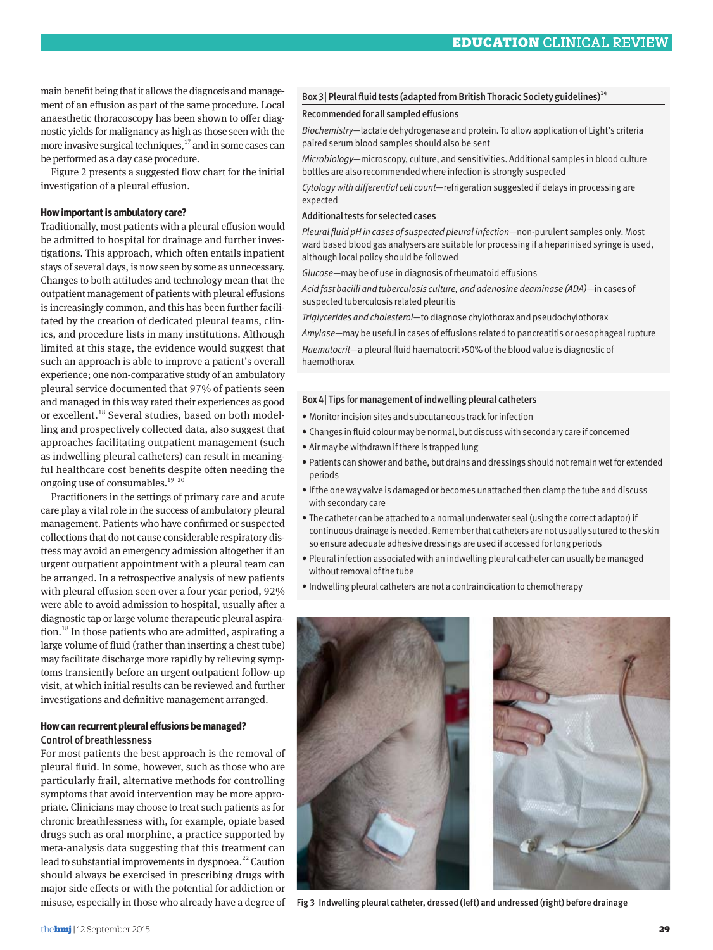main benefit being that it allows the diagnosis and management of an effusion as part of the same procedure. Local anaesthetic thoracoscopy has been shown to offer diagnostic yields for malignancy as high as those seen with the more invasive surgical techniques, $^{17}$  and in some cases can be performed as a day case procedure.

Figure 2 presents a suggested flow chart for the initial investigation of a pleural effusion.

#### **How important is ambulatory care?**

Traditionally, most patients with a pleural effusion would be admitted to hospital for drainage and further investigations. This approach, which often entails inpatient stays of several days, is now seen by some as unnecessary. Changes to both attitudes and technology mean that the outpatient management of patients with pleural effusions is increasingly common, and this has been further facilitated by the creation of dedicated pleural teams, clinics, and procedure lists in many institutions. Although limited at this stage, the evidence would suggest that such an approach is able to improve a patient's overall experience; one non-comparative study of an ambulatory pleural service documented that 97% of patients seen and managed in this way rated their experiences as good or excellent.18 Several studies, based on both modelling and prospectively collected data, also suggest that approaches facilitating outpatient management (such as indwelling pleural catheters) can result in meaningful healthcare cost benefits despite often needing the ongoing use of consumables.<sup>19</sup> <sup>20</sup>

Practitioners in the settings of primary care and acute care play a vital role in the success of ambulatory pleural management. Patients who have confirmed or suspected collections that do not cause considerable respiratory distress may avoid an emergency admission altogether if an urgent outpatient appointment with a pleural team can be arranged. In a retrospective analysis of new patients with pleural effusion seen over a four year period, 92% were able to avoid admission to hospital, usually after a diagnostic tap or large volume therapeutic pleural aspiration.18 In those patients who are admitted, aspirating a large volume of fluid (rather than inserting a chest tube) may facilitate discharge more rapidly by relieving symptoms transiently before an urgent outpatient follow-up visit, at which initial results can be reviewed and further investigations and definitive management arranged.

#### **How can recurrent pleural effusions be managed?** Control of breathlessness

For most patients the best approach is the removal of pleural fluid. In some, however, such as those who are particularly frail, alternative methods for controlling symptoms that avoid intervention may be more appropriate. Clinicians may choose to treat such patients as for chronic breathlessness with, for example, opiate based drugs such as oral morphine, a practice supported by meta-analysis data suggesting that this treatment can lead to substantial improvements in dyspnoea.<sup>22</sup> Caution should always be exercised in prescribing drugs with major side effects or with the potential for addiction or misuse, especially in those who already have a degree of

#### Box 3 | Pleural fluid tests (adapted from British Thoracic Society guidelines)<sup>14</sup>

#### Recommended for all sampled effusions

*Biochemistry*—lactate dehydrogenase and protein. To allow application of Light's criteria paired serum blood samples should also be sent

*Microbiology*—microscopy, culture, and sensitivities. Additional samples in blood culture bottles are also recommended where infection is strongly suspected

*Cytology with differential cell count*—refrigeration suggested if delays in processing are expected

#### Additional tests for selected cases

*Pleural fluid pH in cases of suspected pleural infection*—non-purulent samples only. Most ward based blood gas analysers are suitable for processing if a heparinised syringe is used, although local policy should be followed

*Glucose*—may be of use in diagnosis of rheumatoid effusions

*Acid fast bacilli and tuberculosis culture, and adenosine deaminase (ADA)*—in cases of suspected tuberculosis related pleuritis

*Triglycerides and cholesterol*—to diagnose chylothorax and pseudochylothorax

*Amylase*—may be useful in cases of effusions related to pancreatitis or oesophageal rupture *Haematocrit*—a pleural fluid haematocrit >50% of the blood value is diagnostic of haemothorax

#### Box 4| Tips for management of indwelling pleural catheters

- Monitor incision sites and subcutaneous track for infection
- Changes in fluid colour may be normal, but discuss with secondary care if concerned
- Air may be withdrawn if there is trapped lung
- Patients can shower and bathe, but drains and dressings should not remain wet for extended periods
- If the one way valve is damaged or becomes unattached then clamp the tube and discuss with secondary care
- The catheter can be attached to a normal underwater seal (using the correct adaptor) if continuous drainage is needed. Remember that catheters are not usually sutured to the skin so ensure adequate adhesive dressings are used if accessed for long periods
- Pleural infection associated with an indwelling pleural catheter can usually be managed without removal of the tube
- Indwelling pleural catheters are not a contraindication to chemotherapy





Fig 3|Indwelling pleural catheter, dressed (left) and undressed (right) before drainage